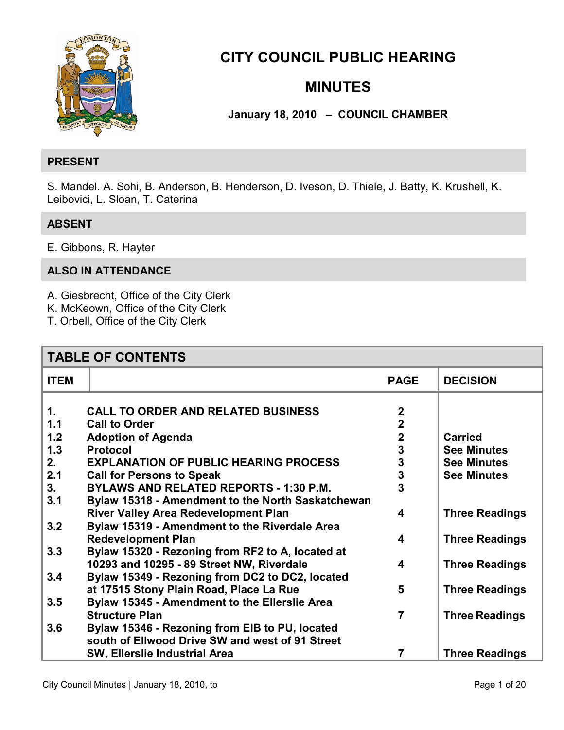

## **CITY COUNCIL PUBLIC HEARING**

## **MINUTES**

## **January 18, 2010 – COUNCIL CHAMBER**

### **PRESENT**

S. Mandel. A. Sohi, B. Anderson, B. Henderson, D. Iveson, D. Thiele, J. Batty, K. Krushell, K. Leibovici, L. Sloan, T. Caterina

## **ABSENT**

E. Gibbons, R. Hayter

## **ALSO IN ATTENDANCE**

A. Giesbrecht, Office of the City Clerk

- K. McKeown, Office of the City Clerk
- T. Orbell, Office of the City Clerk

| <b>TABLE OF CONTENTS</b> |                                                   |                         |                       |
|--------------------------|---------------------------------------------------|-------------------------|-----------------------|
| <b>ITEM</b>              |                                                   | <b>PAGE</b>             | <b>DECISION</b>       |
|                          |                                                   |                         |                       |
| $\mathbf{1}$ .           | <b>CALL TO ORDER AND RELATED BUSINESS</b>         | $\overline{2}$          |                       |
| 1.1                      | <b>Call to Order</b>                              | $\overline{2}$          |                       |
| 1.2                      | <b>Adoption of Agenda</b>                         | $\overline{\mathbf{2}}$ | <b>Carried</b>        |
| 1.3                      | <b>Protocol</b>                                   | 3                       | <b>See Minutes</b>    |
| 2.                       | <b>EXPLANATION OF PUBLIC HEARING PROCESS</b>      | 3                       | <b>See Minutes</b>    |
| 2.1                      | <b>Call for Persons to Speak</b>                  | 3                       | <b>See Minutes</b>    |
| 3 <sub>1</sub>           | <b>BYLAWS AND RELATED REPORTS - 1:30 P.M.</b>     | 3                       |                       |
| 3.1                      | Bylaw 15318 - Amendment to the North Saskatchewan |                         |                       |
|                          | <b>River Valley Area Redevelopment Plan</b>       | 4                       | <b>Three Readings</b> |
| 3.2                      | Bylaw 15319 - Amendment to the Riverdale Area     |                         |                       |
|                          | <b>Redevelopment Plan</b>                         | 4                       | <b>Three Readings</b> |
| 3.3                      | Bylaw 15320 - Rezoning from RF2 to A, located at  |                         |                       |
|                          | 10293 and 10295 - 89 Street NW, Riverdale         | 4                       | <b>Three Readings</b> |
| 3.4                      | Bylaw 15349 - Rezoning from DC2 to DC2, located   |                         |                       |
|                          | at 17515 Stony Plain Road, Place La Rue           | 5                       | <b>Three Readings</b> |
| 3.5                      | Bylaw 15345 - Amendment to the Ellerslie Area     |                         |                       |
|                          | <b>Structure Plan</b>                             | $\overline{7}$          | <b>Three Readings</b> |
| 3.6                      |                                                   |                         |                       |
|                          | Bylaw 15346 - Rezoning from EIB to PU, located    |                         |                       |
|                          | south of Ellwood Drive SW and west of 91 Street   |                         |                       |
|                          | <b>SW, Ellerslie Industrial Area</b>              | 7                       | <b>Three Readings</b> |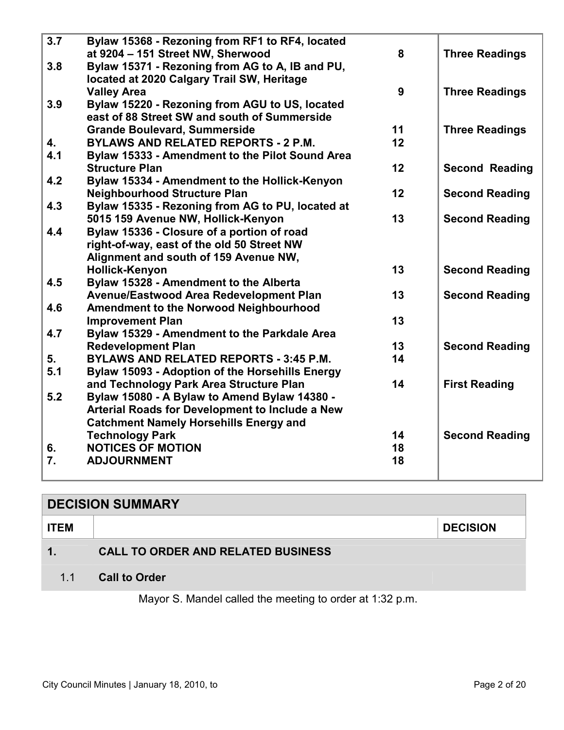<span id="page-1-0"></span>

| 3.7              | Bylaw 15368 - Rezoning from RF1 to RF4, located        |    |                       |
|------------------|--------------------------------------------------------|----|-----------------------|
|                  | at 9204 - 151 Street NW, Sherwood                      | 8  | <b>Three Readings</b> |
| 3.8              | Bylaw 15371 - Rezoning from AG to A, IB and PU,        |    |                       |
|                  | located at 2020 Calgary Trail SW, Heritage             |    |                       |
|                  | <b>Valley Area</b>                                     | 9  | <b>Three Readings</b> |
| 3.9              | Bylaw 15220 - Rezoning from AGU to US, located         |    |                       |
|                  | east of 88 Street SW and south of Summerside           |    |                       |
|                  | <b>Grande Boulevard, Summerside</b>                    | 11 | <b>Three Readings</b> |
| 4.               | <b>BYLAWS AND RELATED REPORTS - 2 P.M.</b>             | 12 |                       |
| 4.1              | Bylaw 15333 - Amendment to the Pilot Sound Area        |    |                       |
|                  | <b>Structure Plan</b>                                  | 12 | <b>Second Reading</b> |
| 4.2              | Bylaw 15334 - Amendment to the Hollick-Kenyon          |    |                       |
|                  | <b>Neighbourhood Structure Plan</b>                    | 12 | <b>Second Reading</b> |
| 4.3              | Bylaw 15335 - Rezoning from AG to PU, located at       |    |                       |
|                  | 5015 159 Avenue NW, Hollick-Kenyon                     | 13 | <b>Second Reading</b> |
| 4.4              | Bylaw 15336 - Closure of a portion of road             |    |                       |
|                  | right-of-way, east of the old 50 Street NW             |    |                       |
|                  | Alignment and south of 159 Avenue NW,                  |    |                       |
|                  | <b>Hollick-Kenyon</b>                                  | 13 | <b>Second Reading</b> |
| 4.5              | Bylaw 15328 - Amendment to the Alberta                 |    |                       |
|                  | Avenue/Eastwood Area Redevelopment Plan                | 13 | <b>Second Reading</b> |
| 4.6              | <b>Amendment to the Norwood Neighbourhood</b>          |    |                       |
|                  | <b>Improvement Plan</b>                                | 13 |                       |
| 4.7              | Bylaw 15329 - Amendment to the Parkdale Area           |    |                       |
|                  | <b>Redevelopment Plan</b>                              | 13 | <b>Second Reading</b> |
| 5.               | <b>BYLAWS AND RELATED REPORTS - 3:45 P.M.</b>          | 14 |                       |
| 5.1              | <b>Bylaw 15093 - Adoption of the Horsehills Energy</b> |    |                       |
|                  | and Technology Park Area Structure Plan                | 14 | <b>First Reading</b>  |
| 5.2              | Bylaw 15080 - A Bylaw to Amend Bylaw 14380 -           |    |                       |
|                  | Arterial Roads for Development to Include a New        |    |                       |
|                  | <b>Catchment Namely Horsehills Energy and</b>          |    |                       |
|                  | <b>Technology Park</b>                                 | 14 | <b>Second Reading</b> |
| 6.               | <b>NOTICES OF MOTION</b>                               | 18 |                       |
| $\overline{7}$ . | <b>ADJOURNMENT</b>                                     | 18 |                       |
|                  |                                                        |    |                       |

# **DECISION SUMMARY ITEM DECISION 1. CALL TO ORDER AND RELATED BUSINESS**  1.1 **Call to Order**

Mayor S. Mandel called the meeting to order at 1:32 p.m.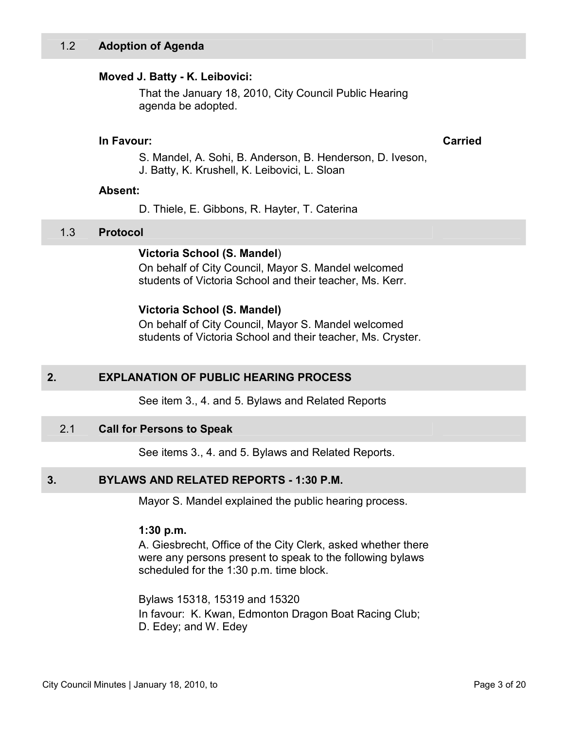### <span id="page-2-0"></span>**Moved J. Batty - K. Leibovici:**

That the January 18, 2010, City Council Public Hearing agenda be adopted.

### **In Favour: Carried**

S. Mandel, A. Sohi, B. Anderson, B. Henderson, D. Iveson,

J. Batty, K. Krushell, K. Leibovici, L. Sloan

### **Absent:**

D. Thiele, E. Gibbons, R. Hayter, T. Caterina

### 1.3 **Protocol**

### **Victoria School (S. Mandel**)

On behalf of City Council, Mayor S. Mandel welcomed students of Victoria School and their teacher, Ms. Kerr.

### **Victoria School (S. Mandel)**

On behalf of City Council, Mayor S. Mandel welcomed students of Victoria School and their teacher, Ms. Cryster.

### **2. EXPLANATION OF PUBLIC HEARING PROCESS**

See item 3., 4. and 5. Bylaws and Related Reports

### 2.1 **Call for Persons to Speak**

See items 3., 4. and 5. Bylaws and Related Reports.

### **3. BYLAWS AND RELATED REPORTS - 1:30 P.M.**

Mayor S. Mandel explained the public hearing process.

### **1:30 p.m.**

A. Giesbrecht, Office of the City Clerk, asked whether there were any persons present to speak to the following bylaws scheduled for the 1:30 p.m. time block.

Bylaws 15318, 15319 and 15320 In favour: K. Kwan, Edmonton Dragon Boat Racing Club; D. Edey; and W. Edey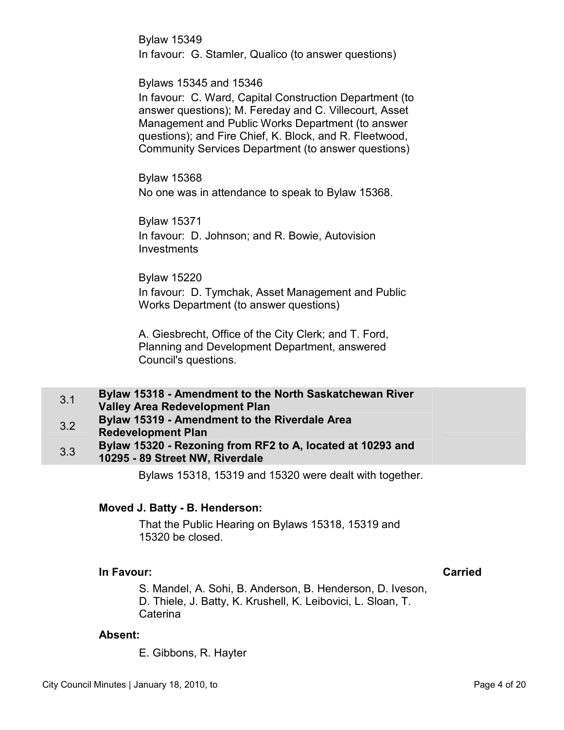<span id="page-3-0"></span>Bylaw 15349 In favour: G. Stamler, Qualico (to answer questions)

### Bylaws 15345 and 15346

In favour: C. Ward, Capital Construction Department (to answer questions); M. Fereday and C. Villecourt, Asset Management and Public Works Department (to answer questions); and Fire Chief, K. Block, and R. Fleetwood, Community Services Department (to answer questions)

Bylaw 15368 No one was in attendance to speak to Bylaw 15368.

Bylaw 15371 In favour: D. Johnson; and R. Bowie, Autovision Investments

Bylaw 15220 In favour: D. Tymchak, Asset Management and Public Works Department (to answer questions)

A. Giesbrecht, Office of the City Clerk; and T. Ford, Planning and Development Department, answered Council's questions.

- 3.1 **Bylaw 15318 Amendment to the North Saskatchewan River Valley Area Redevelopment Plan**  3.2 **Bylaw 15319 - Amendment to the Riverdale Area Redevelopment Plan**  3.3 **Bylaw 15320 - Rezoning from RF2 to A, located at 10293 and** 
	- **10295 89 Street NW, Riverdale**

Bylaws 15318, 15319 and 15320 were dealt with together.

### **Moved J. Batty - B. Henderson:**

That the Public Hearing on Bylaws 15318, 15319 and 15320 be closed.

### **In Favour: Carried**

S. Mandel, A. Sohi, B. Anderson, B. Henderson, D. Iveson, D. Thiele, J. Batty, K. Krushell, K. Leibovici, L. Sloan, T. Caterina

### **Absent:**

E. Gibbons, R. Hayter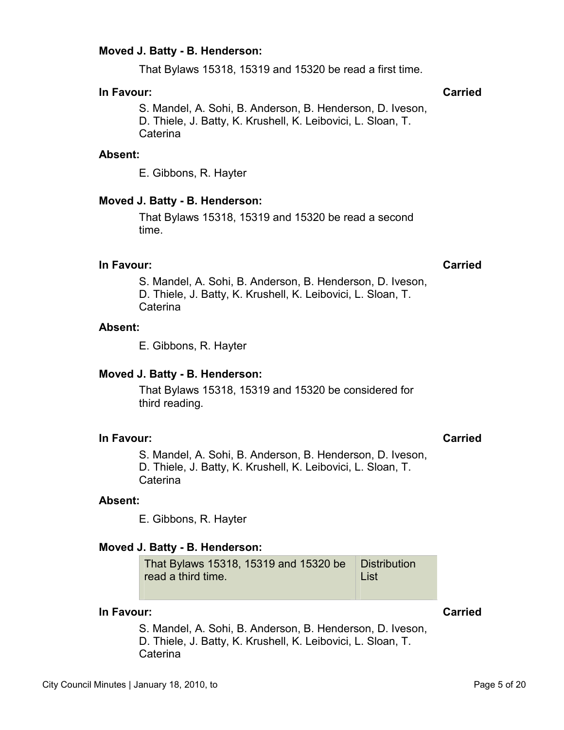## **Moved J. Batty - B. Henderson:**

That Bylaws 15318, 15319 and 15320 be read a first time.

## **In Favour: Carried**

S. Mandel, A. Sohi, B. Anderson, B. Henderson, D. Iveson, D. Thiele, J. Batty, K. Krushell, K. Leibovici, L. Sloan, T. Caterina

## **Absent:**

E. Gibbons, R. Hayter

## **Moved J. Batty - B. Henderson:**

That Bylaws 15318, 15319 and 15320 be read a second time.

## **In Favour: Carried**

S. Mandel, A. Sohi, B. Anderson, B. Henderson, D. Iveson, D. Thiele, J. Batty, K. Krushell, K. Leibovici, L. Sloan, T. Caterina

## **Absent:**

E. Gibbons, R. Hayter

## **Moved J. Batty - B. Henderson:**

That Bylaws 15318, 15319 and 15320 be considered for third reading.

## **In Favour: Carried**

S. Mandel, A. Sohi, B. Anderson, B. Henderson, D. Iveson, D. Thiele, J. Batty, K. Krushell, K. Leibovici, L. Sloan, T. Caterina

## **Absent:**

E. Gibbons, R. Hayter

## **Moved J. Batty - B. Henderson:**

That Bylaws 15318, 15319 and 15320 be read a third time. **Distribution** List

## **In Favour: Carried**

S. Mandel, A. Sohi, B. Anderson, B. Henderson, D. Iveson, D. Thiele, J. Batty, K. Krushell, K. Leibovici, L. Sloan, T. **Caterina**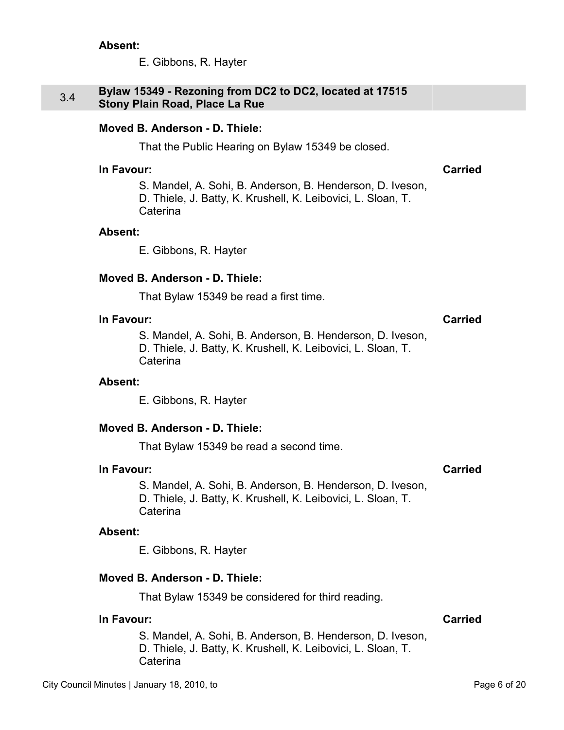E. Gibbons, R. Hayter

### <span id="page-5-0"></span>3.4 **Bylaw 15349 - Rezoning from DC2 to DC2, located at 17515 Stony Plain Road, Place La Rue**

### **Moved B. Anderson - D. Thiele:**

That the Public Hearing on Bylaw 15349 be closed.

### **In Favour: Carried**

S. Mandel, A. Sohi, B. Anderson, B. Henderson, D. Iveson, D. Thiele, J. Batty, K. Krushell, K. Leibovici, L. Sloan, T. Caterina

### **Absent:**

E. Gibbons, R. Hayter

### **Moved B. Anderson - D. Thiele:**

That Bylaw 15349 be read a first time.

### **In Favour: Carried**

S. Mandel, A. Sohi, B. Anderson, B. Henderson, D. Iveson, D. Thiele, J. Batty, K. Krushell, K. Leibovici, L. Sloan, T. Caterina

### **Absent:**

E. Gibbons, R. Hayter

### **Moved B. Anderson - D. Thiele:**

That Bylaw 15349 be read a second time.

### **In Favour: Carried**

S. Mandel, A. Sohi, B. Anderson, B. Henderson, D. Iveson, D. Thiele, J. Batty, K. Krushell, K. Leibovici, L. Sloan, T. **Caterina** 

### **Absent:**

E. Gibbons, R. Hayter

### **Moved B. Anderson - D. Thiele:**

That Bylaw 15349 be considered for third reading.

### **In Favour: Carried**

S. Mandel, A. Sohi, B. Anderson, B. Henderson, D. Iveson, D. Thiele, J. Batty, K. Krushell, K. Leibovici, L. Sloan, T. Caterina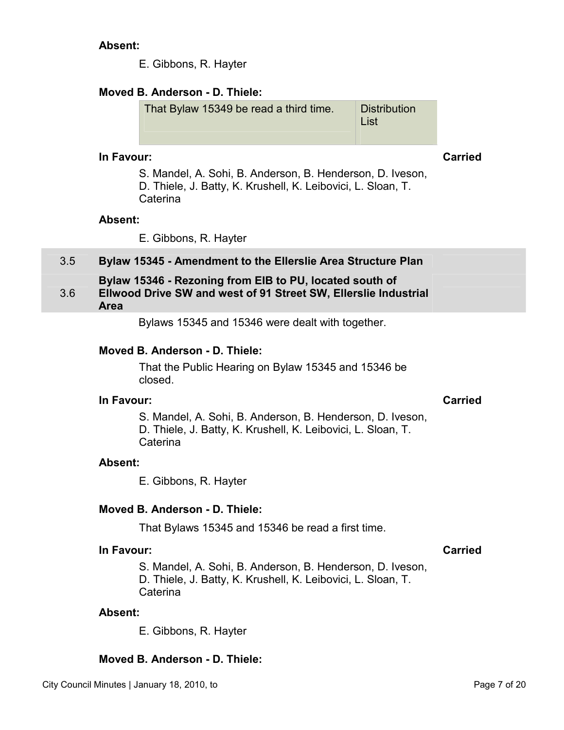E. Gibbons, R. Hayter

## <span id="page-6-0"></span>**Moved B. Anderson - D. Thiele:**

That Bylaw 15349 be read a third time. Distribution List

### **In Favour: Carried**

S. Mandel, A. Sohi, B. Anderson, B. Henderson, D. Iveson, D. Thiele, J. Batty, K. Krushell, K. Leibovici, L. Sloan, T. **Caterina** 

### **Absent:**

E. Gibbons, R. Hayter

## 3.5 **Bylaw 15345 - Amendment to the Ellerslie Area Structure Plan**

### 3.6 **Bylaw 15346 - Rezoning from EIB to PU, located south of Ellwood Drive SW and west of 91 Street SW, Ellerslie Industrial Area**

Bylaws 15345 and 15346 were dealt with together.

### **Moved B. Anderson - D. Thiele:**

That the Public Hearing on Bylaw 15345 and 15346 be closed.

### **In Favour: Carried**

S. Mandel, A. Sohi, B. Anderson, B. Henderson, D. Iveson, D. Thiele, J. Batty, K. Krushell, K. Leibovici, L. Sloan, T. **Caterina** 

### **Absent:**

E. Gibbons, R. Hayter

### **Moved B. Anderson - D. Thiele:**

That Bylaws 15345 and 15346 be read a first time.

## **In Favour: Carried**

S. Mandel, A. Sohi, B. Anderson, B. Henderson, D. Iveson, D. Thiele, J. Batty, K. Krushell, K. Leibovici, L. Sloan, T. Caterina

### **Absent:**

E. Gibbons, R. Hayter

## **Moved B. Anderson - D. Thiele:**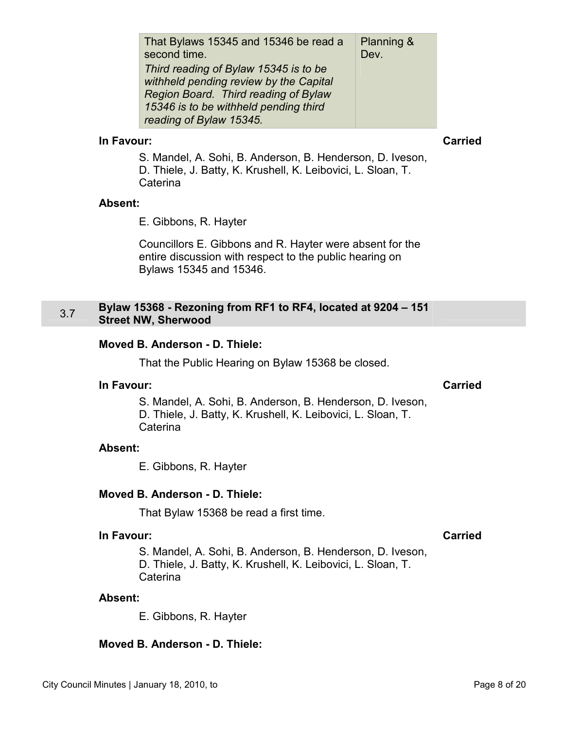<span id="page-7-0"></span>

| That Bylaws 15345 and 15346 be read a  | Planning & |
|----------------------------------------|------------|
| second time.                           | Dev.       |
| Third reading of Bylaw 15345 is to be  |            |
| withheld pending review by the Capital |            |
| Region Board. Third reading of Bylaw   |            |
| 15346 is to be withheld pending third  |            |
| reading of Bylaw 15345.                |            |

S. Mandel, A. Sohi, B. Anderson, B. Henderson, D. Iveson, D. Thiele, J. Batty, K. Krushell, K. Leibovici, L. Sloan, T. **Caterina** 

### **Absent:**

E. Gibbons, R. Hayter

Councillors E. Gibbons and R. Hayter were absent for the entire discussion with respect to the public hearing on Bylaws 15345 and 15346.

### 3.7 **Bylaw 15368 - Rezoning from RF1 to RF4, located at 9204 – 151 Street NW, Sherwood**

### **Moved B. Anderson - D. Thiele:**

That the Public Hearing on Bylaw 15368 be closed.

### **In Favour: Carried**

S. Mandel, A. Sohi, B. Anderson, B. Henderson, D. Iveson, D. Thiele, J. Batty, K. Krushell, K. Leibovici, L. Sloan, T. **Caterina** 

### **Absent:**

E. Gibbons, R. Hayter

### **Moved B. Anderson - D. Thiele:**

That Bylaw 15368 be read a first time.

### **In Favour: Carried**

S. Mandel, A. Sohi, B. Anderson, B. Henderson, D. Iveson, D. Thiele, J. Batty, K. Krushell, K. Leibovici, L. Sloan, T. Caterina

### **Absent:**

E. Gibbons, R. Hayter

### **Moved B. Anderson - D. Thiele:**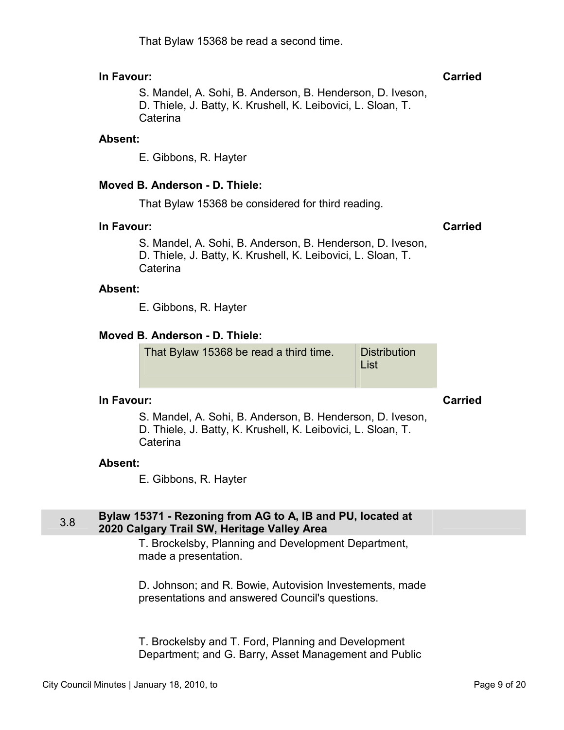## That Bylaw 15368 be read a second time.

## <span id="page-8-0"></span>**In Favour: Carried**

S. Mandel, A. Sohi, B. Anderson, B. Henderson, D. Iveson, D. Thiele, J. Batty, K. Krushell, K. Leibovici, L. Sloan, T. Caterina

### **Absent:**

E. Gibbons, R. Hayter

## **Moved B. Anderson - D. Thiele:**

That Bylaw 15368 be considered for third reading.

### **In Favour: Carried**

S. Mandel, A. Sohi, B. Anderson, B. Henderson, D. Iveson, D. Thiele, J. Batty, K. Krushell, K. Leibovici, L. Sloan, T. **Caterina** 

### **Absent:**

E. Gibbons, R. Hayter

## **Moved B. Anderson - D. Thiele:**

That Bylaw 15368 be read a third time. Distribution List

### **In Favour: Carried**

S. Mandel, A. Sohi, B. Anderson, B. Henderson, D. Iveson, D. Thiele, J. Batty, K. Krushell, K. Leibovici, L. Sloan, T. **Caterina** 

### **Absent:**

E. Gibbons, R. Hayter

### 3.8 **Bylaw 15371 - Rezoning from AG to A, IB and PU, located at 2020 Calgary Trail SW, Heritage Valley Area**

T. Brockelsby, Planning and Development Department, made a presentation.

D. Johnson; and R. Bowie, Autovision Investements, made presentations and answered Council's questions.

T. Brockelsby and T. Ford, Planning and Development Department; and G. Barry, Asset Management and Public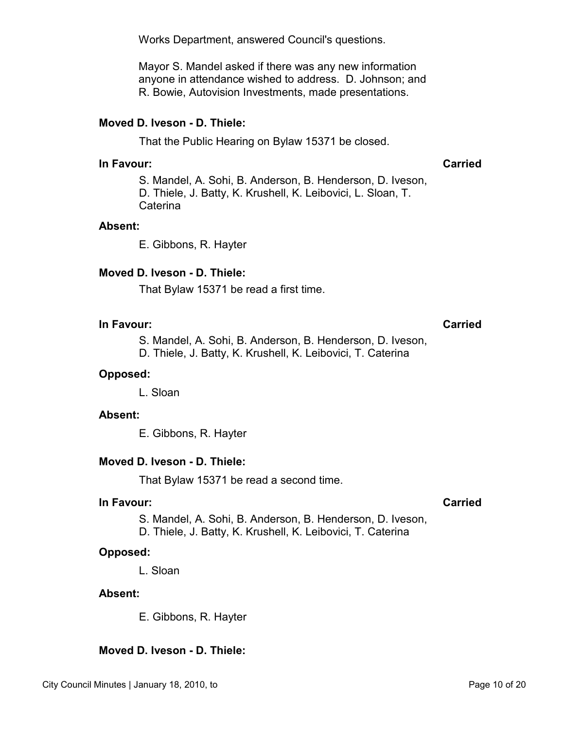Works Department, answered Council's questions.

Mayor S. Mandel asked if there was any new information anyone in attendance wished to address. D. Johnson; and R. Bowie, Autovision Investments, made presentations.

### **Moved D. Iveson - D. Thiele:**

That the Public Hearing on Bylaw 15371 be closed.

### **In Favour: Carried**

S. Mandel, A. Sohi, B. Anderson, B. Henderson, D. Iveson, D. Thiele, J. Batty, K. Krushell, K. Leibovici, L. Sloan, T. Caterina

### **Absent:**

E. Gibbons, R. Hayter

### **Moved D. Iveson - D. Thiele:**

That Bylaw 15371 be read a first time.

### **In Favour: Carried**

S. Mandel, A. Sohi, B. Anderson, B. Henderson, D. Iveson,

D. Thiele, J. Batty, K. Krushell, K. Leibovici, T. Caterina

### **Opposed:**

L. Sloan

### **Absent:**

E. Gibbons, R. Hayter

### **Moved D. Iveson - D. Thiele:**

That Bylaw 15371 be read a second time.

### **In Favour: Carried**

S. Mandel, A. Sohi, B. Anderson, B. Henderson, D. Iveson,

D. Thiele, J. Batty, K. Krushell, K. Leibovici, T. Caterina

### **Opposed:**

L. Sloan

### **Absent:**

E. Gibbons, R. Hayter

### **Moved D. Iveson - D. Thiele:**

### City Council Minutes | January 18, 2010, to Page 10 of 20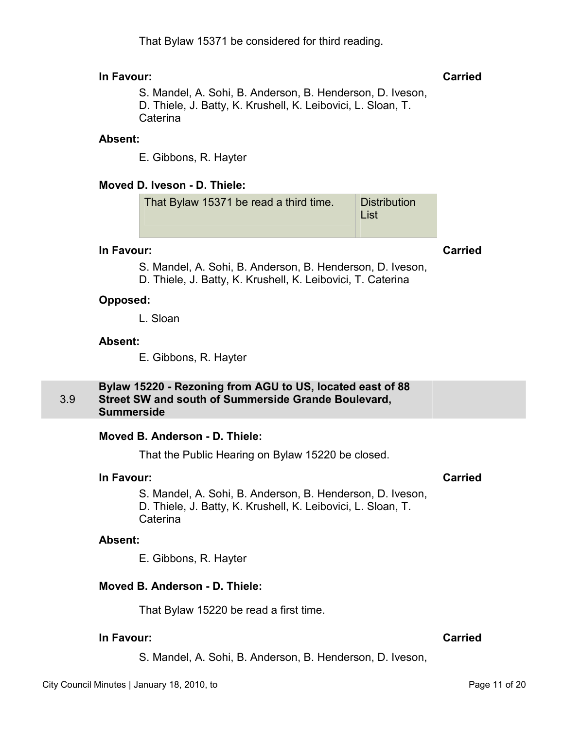<span id="page-10-0"></span>S. Mandel, A. Sohi, B. Anderson, B. Henderson, D. Iveson, D. Thiele, J. Batty, K. Krushell, K. Leibovici, L. Sloan, T. Caterina

### **Absent:**

E. Gibbons, R. Hayter

### **Moved D. Iveson - D. Thiele:**

### **In Favour: Carried**

S. Mandel, A. Sohi, B. Anderson, B. Henderson, D. Iveson,

D. Thiele, J. Batty, K. Krushell, K. Leibovici, T. Caterina

### **Opposed:**

L. Sloan

### **Absent:**

E. Gibbons, R. Hayter

### 3.9 **Bylaw 15220 - Rezoning from AGU to US, located east of 88 Street SW and south of Summerside Grande Boulevard, Summerside**

### **Moved B. Anderson - D. Thiele:**

That the Public Hearing on Bylaw 15220 be closed.

### **In Favour: Carried**

S. Mandel, A. Sohi, B. Anderson, B. Henderson, D. Iveson, D. Thiele, J. Batty, K. Krushell, K. Leibovici, L. Sloan, T. Caterina

### **Absent:**

E. Gibbons, R. Hayter

### **Moved B. Anderson - D. Thiele:**

That Bylaw 15220 be read a first time.

### **In Favour: Carried**

S. Mandel, A. Sohi, B. Anderson, B. Henderson, D. Iveson,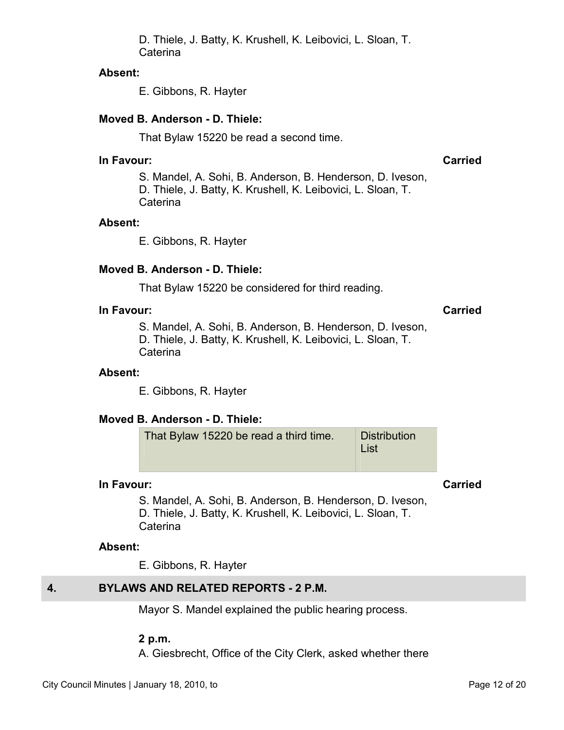D. Thiele, J. Batty, K. Krushell, K. Leibovici, L. Sloan, T. Caterina

### <span id="page-11-0"></span>**Absent:**

E. Gibbons, R. Hayter

### **Moved B. Anderson - D. Thiele:**

That Bylaw 15220 be read a second time.

### **In Favour: Carried**

S. Mandel, A. Sohi, B. Anderson, B. Henderson, D. Iveson, D. Thiele, J. Batty, K. Krushell, K. Leibovici, L. Sloan, T. Caterina

### **Absent:**

E. Gibbons, R. Hayter

### **Moved B. Anderson - D. Thiele:**

That Bylaw 15220 be considered for third reading.

### **In Favour: Carried**

S. Mandel, A. Sohi, B. Anderson, B. Henderson, D. Iveson, D. Thiele, J. Batty, K. Krushell, K. Leibovici, L. Sloan, T. Caterina

### **Absent:**

E. Gibbons, R. Hayter

### **Moved B. Anderson - D. Thiele:**

That Bylaw 15220 be read a third time. Distribution List

### **In Favour: Carried**

S. Mandel, A. Sohi, B. Anderson, B. Henderson, D. Iveson, D. Thiele, J. Batty, K. Krushell, K. Leibovici, L. Sloan, T. Caterina

### **Absent:**

E. Gibbons, R. Hayter

### **4. BYLAWS AND RELATED REPORTS - 2 P.M.**

Mayor S. Mandel explained the public hearing process.

### **2 p.m.**

A. Giesbrecht, Office of the City Clerk, asked whether there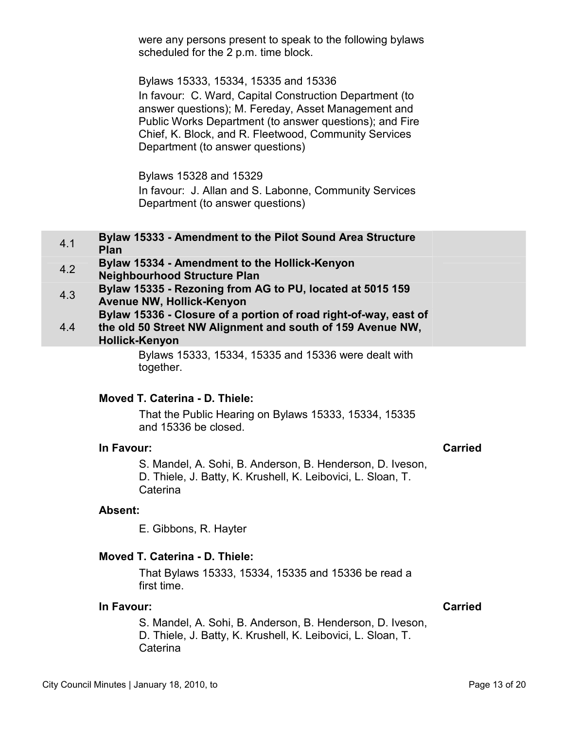were any persons present to speak to the following bylaws scheduled for the 2 p.m. time block.

Bylaws 15333, 15334, 15335 and 15336 In favour: C. Ward, Capital Construction Department (to answer questions); M. Fereday, Asset Management and Public Works Department (to answer questions); and Fire Chief, K. Block, and R. Fleetwood, Community Services Department (to answer questions)

Bylaws 15328 and 15329 In favour: J. Allan and S. Labonne, Community Services Department (to answer questions)

| 4.1        | Bylaw 15333 - Amendment to the Pilot Sound Area Structure<br>Plan                    |
|------------|--------------------------------------------------------------------------------------|
| 4.2        | Bylaw 15334 - Amendment to the Hollick-Kenyon<br><b>Neighbourhood Structure Plan</b> |
| $\sqrt{2}$ | Bylaw 15335 - Rezoning from AG to PU, located at 5015 159                            |

4.3 **Bylaw 15335 - Rezoning from AG to PU, located at 5015 159 Avenue NW, Hollick-Kenyon** 

4.4 **Bylaw 15336 - Closure of a portion of road right-of-way, east of the old 50 Street NW Alignment and south of 159 Avenue NW,** 

## **Hollick-Kenyon**

Bylaws 15333, 15334, 15335 and 15336 were dealt with together.

## **Moved T. Caterina - D. Thiele:**

That the Public Hearing on Bylaws 15333, 15334, 15335 and 15336 be closed.

## **In Favour: Carried**

S. Mandel, A. Sohi, B. Anderson, B. Henderson, D. Iveson, D. Thiele, J. Batty, K. Krushell, K. Leibovici, L. Sloan, T. **Caterina** 

### **Absent:**

E. Gibbons, R. Hayter

## **Moved T. Caterina - D. Thiele:**

That Bylaws 15333, 15334, 15335 and 15336 be read a first time.

### **In Favour: Carried**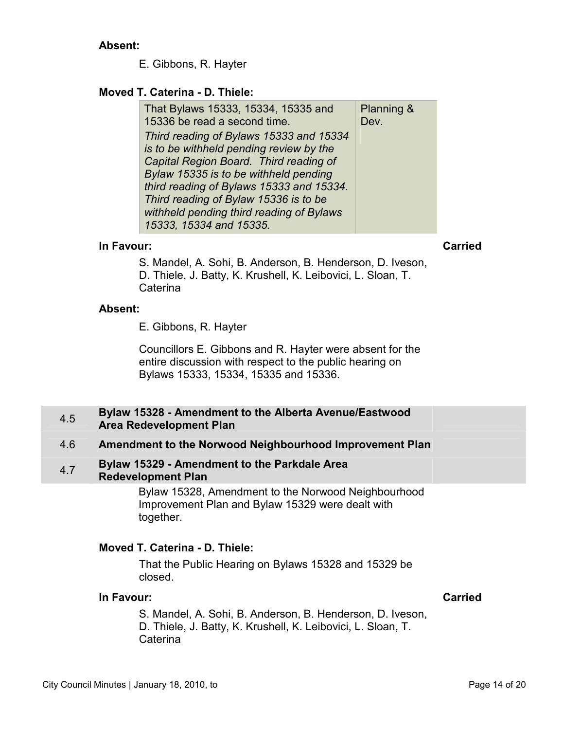E. Gibbons, R. Hayter

### <span id="page-13-0"></span>**Moved T. Caterina - D. Thiele:**

| That Bylaws 15333, 15334, 15335 and      | Planning & |
|------------------------------------------|------------|
| 15336 be read a second time.             | Dev.       |
| Third reading of Bylaws 15333 and 15334  |            |
| is to be withheld pending review by the  |            |
| Capital Region Board. Third reading of   |            |
| Bylaw 15335 is to be withheld pending    |            |
| third reading of Bylaws 15333 and 15334. |            |
| Third reading of Bylaw 15336 is to be    |            |
| withheld pending third reading of Bylaws |            |
| 15333, 15334 and 15335.                  |            |

### **In Favour: Carried**

S. Mandel, A. Sohi, B. Anderson, B. Henderson, D. Iveson, D. Thiele, J. Batty, K. Krushell, K. Leibovici, L. Sloan, T. Caterina

### **Absent:**

E. Gibbons, R. Hayter

Councillors E. Gibbons and R. Hayter were absent for the entire discussion with respect to the public hearing on Bylaws 15333, 15334, 15335 and 15336.

### 4.5 **Bylaw 15328 - Amendment to the Alberta Avenue/Eastwood Area Redevelopment Plan**

### 4.6 **Amendment to the Norwood Neighbourhood Improvement Plan**

4.7 **Bylaw 15329 - Amendment to the Parkdale Area Redevelopment Plan** 

> Bylaw 15328, Amendment to the Norwood Neighbourhood Improvement Plan and Bylaw 15329 were dealt with together.

### **Moved T. Caterina - D. Thiele:**

That the Public Hearing on Bylaws 15328 and 15329 be closed.

## **In Favour: Carried**

S. Mandel, A. Sohi, B. Anderson, B. Henderson, D. Iveson, D. Thiele, J. Batty, K. Krushell, K. Leibovici, L. Sloan, T. **Caterina**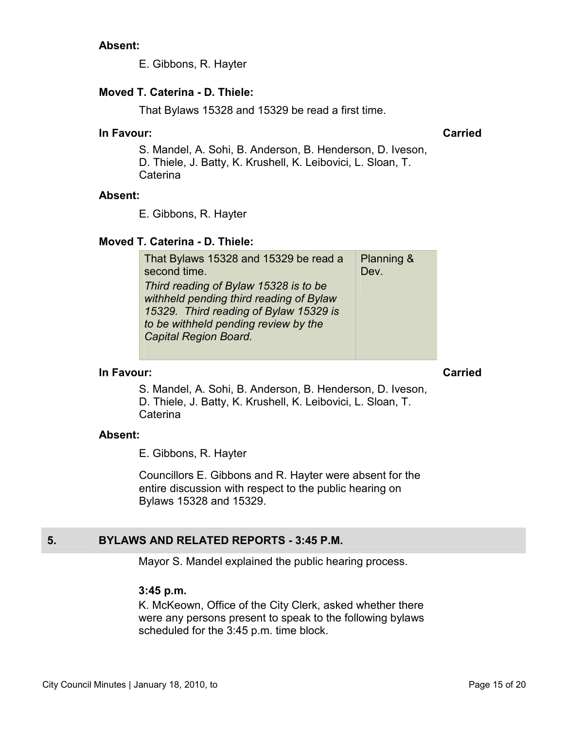E. Gibbons, R. Hayter

### <span id="page-14-0"></span>**Moved T. Caterina - D. Thiele:**

That Bylaws 15328 and 15329 be read a first time.

### **In Favour: Carried**

S. Mandel, A. Sohi, B. Anderson, B. Henderson, D. Iveson, D. Thiele, J. Batty, K. Krushell, K. Leibovici, L. Sloan, T. Caterina

### **Absent:**

E. Gibbons, R. Hayter

### **Moved T. Caterina - D. Thiele:**

| That Bylaws 15328 and 15329 be read a<br>second time.                                                                                                                                       | <b>Planning &amp;</b><br>Dev. |
|---------------------------------------------------------------------------------------------------------------------------------------------------------------------------------------------|-------------------------------|
| Third reading of Bylaw 15328 is to be<br>withheld pending third reading of Bylaw<br>15329. Third reading of Bylaw 15329 is<br>to be withheld pending review by the<br>Capital Region Board. |                               |
|                                                                                                                                                                                             |                               |

### **In Favour: Carried**

S. Mandel, A. Sohi, B. Anderson, B. Henderson, D. Iveson, D. Thiele, J. Batty, K. Krushell, K. Leibovici, L. Sloan, T. **Caterina** 

### **Absent:**

E. Gibbons, R. Hayter

Councillors E. Gibbons and R. Hayter were absent for the entire discussion with respect to the public hearing on Bylaws 15328 and 15329.

## **5. BYLAWS AND RELATED REPORTS - 3:45 P.M.**

Mayor S. Mandel explained the public hearing process.

### **3:45 p.m.**

K. McKeown, Office of the City Clerk, asked whether there were any persons present to speak to the following bylaws scheduled for the 3:45 p.m. time block.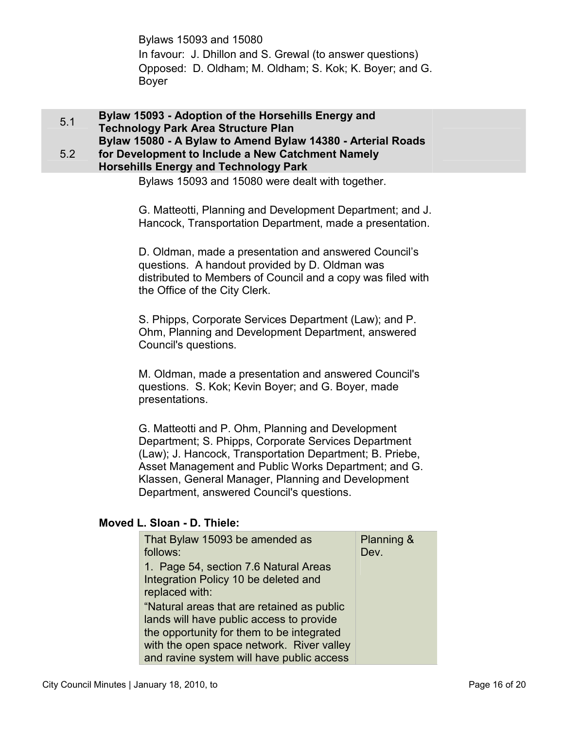Bylaws 15093 and 15080 In favour: J. Dhillon and S. Grewal (to answer questions) Opposed: D. Oldham; M. Oldham; S. Kok; K. Boyer; and G. Boyer

<span id="page-15-0"></span>5.1 **Bylaw 15093 - Adoption of the Horsehills Energy and Technology Park Area Structure Plan Bylaw 15080 - A Bylaw to Amend Bylaw 14380 - Arterial Roads** 

### 5.2 **for Development to Include a New Catchment Namely Horsehills Energy and Technology Park**

Bylaws 15093 and 15080 were dealt with together.

G. Matteotti, Planning and Development Department; and J. Hancock, Transportation Department, made a presentation.

D. Oldman, made a presentation and answered Council's questions. A handout provided by D. Oldman was distributed to Members of Council and a copy was filed with the Office of the City Clerk.

S. Phipps, Corporate Services Department (Law); and P. Ohm, Planning and Development Department, answered Council's questions.

M. Oldman, made a presentation and answered Council's questions. S. Kok; Kevin Boyer; and G. Boyer, made presentations.

G. Matteotti and P. Ohm, Planning and Development Department; S. Phipps, Corporate Services Department (Law); J. Hancock, Transportation Department; B. Priebe, Asset Management and Public Works Department; and G. Klassen, General Manager, Planning and Development Department, answered Council's questions.

### **Moved L. Sloan - D. Thiele:**

| That Bylaw 15093 be amended as             | <b>Planning &amp;</b> |
|--------------------------------------------|-----------------------|
| follows:                                   | Dev.                  |
| 1. Page 54, section 7.6 Natural Areas      |                       |
| Integration Policy 10 be deleted and       |                       |
| replaced with:                             |                       |
| "Natural areas that are retained as public |                       |
| lands will have public access to provide   |                       |
| the opportunity for them to be integrated  |                       |
| with the open space network. River valley  |                       |
| and ravine system will have public access  |                       |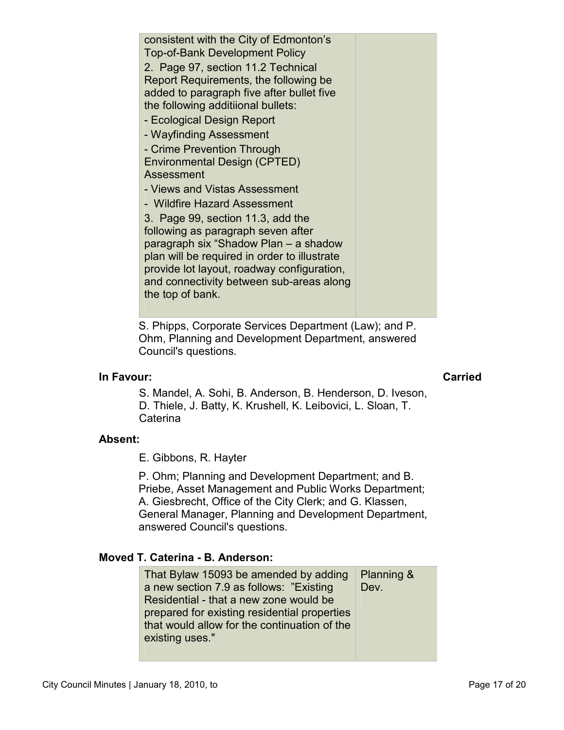2. Page 97, section 11.2 Technical Report Requirements, the following be added to paragraph five after bullet five the following additiional bullets: - Ecological Design Report - Wayfinding Assessment - Crime Prevention Through Environmental Design (CPTED) Assessment - Views and Vistas Assessment - Wildfire Hazard Assessment 3. Page 99, section 11.3, add the following as paragraph seven after paragraph six "Shadow Plan – a shadow plan will be required in order to illustrate provide lot layout, roadway configuration, and connectivity between sub-areas along the top of bank.

consistent with the City of Edmonton's Top-of-Bank Development Policy

S. Phipps, Corporate Services Department (Law); and P. Ohm, Planning and Development Department, answered Council's questions.

## **In Favour: Carried**

S. Mandel, A. Sohi, B. Anderson, B. Henderson, D. Iveson, D. Thiele, J. Batty, K. Krushell, K. Leibovici, L. Sloan, T. Caterina

## **Absent:**

E. Gibbons, R. Hayter

P. Ohm; Planning and Development Department; and B. Priebe, Asset Management and Public Works Department; A. Giesbrecht, Office of the City Clerk; and G. Klassen, General Manager, Planning and Development Department, answered Council's questions.

## **Moved T. Caterina - B. Anderson:**

| That Bylaw 15093 be amended by adding        | Planning & |
|----------------------------------------------|------------|
| a new section 7.9 as follows: "Existing"     | Dev.       |
| Residential - that a new zone would be       |            |
| prepared for existing residential properties |            |
| that would allow for the continuation of the |            |
| existing uses."                              |            |
|                                              |            |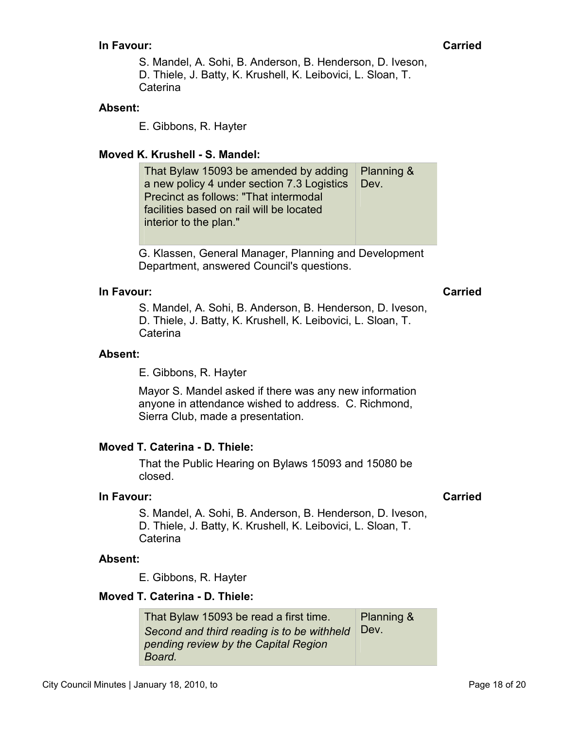S. Mandel, A. Sohi, B. Anderson, B. Henderson, D. Iveson, D. Thiele, J. Batty, K. Krushell, K. Leibovici, L. Sloan, T. Caterina

### **Absent:**

E. Gibbons, R. Hayter

### **Moved K. Krushell - S. Mandel:**

| Planning &   |
|--------------|
| $\vert$ Dev. |
|              |
|              |
|              |
|              |

G. Klassen, General Manager, Planning and Development Department, answered Council's questions.

### **In Favour: Carried**

S. Mandel, A. Sohi, B. Anderson, B. Henderson, D. Iveson, D. Thiele, J. Batty, K. Krushell, K. Leibovici, L. Sloan, T. Caterina

### **Absent:**

E. Gibbons, R. Hayter

Mayor S. Mandel asked if there was any new information anyone in attendance wished to address. C. Richmond, Sierra Club, made a presentation.

### **Moved T. Caterina - D. Thiele:**

That the Public Hearing on Bylaws 15093 and 15080 be closed.

### **In Favour: Carried**

S. Mandel, A. Sohi, B. Anderson, B. Henderson, D. Iveson, D. Thiele, J. Batty, K. Krushell, K. Leibovici, L. Sloan, T. Caterina

### **Absent:**

E. Gibbons, R. Hayter

### **Moved T. Caterina - D. Thiele:**

That Bylaw 15093 be read a first time. *Second and third reading is to be withheld pending review by the Capital Region Board.*  Planning & Dev.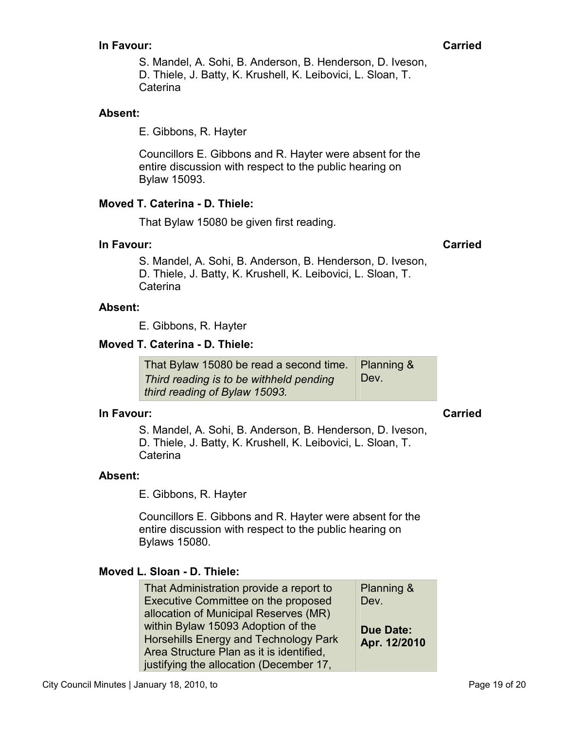S. Mandel, A. Sohi, B. Anderson, B. Henderson, D. Iveson, D. Thiele, J. Batty, K. Krushell, K. Leibovici, L. Sloan, T. Caterina

### **Absent:**

E. Gibbons, R. Hayter

Councillors E. Gibbons and R. Hayter were absent for the entire discussion with respect to the public hearing on Bylaw 15093.

## **Moved T. Caterina - D. Thiele:**

That Bylaw 15080 be given first reading.

### **In Favour: Carried**

S. Mandel, A. Sohi, B. Anderson, B. Henderson, D. Iveson, D. Thiele, J. Batty, K. Krushell, K. Leibovici, L. Sloan, T. Caterina

### **Absent:**

E. Gibbons, R. Hayter

### **Moved T. Caterina - D. Thiele:**

That Bylaw 15080 be read a second time. *Third reading is to be withheld pending third reading of Bylaw 15093.*  Planning & Dev.

## **In Favour: Carried**

S. Mandel, A. Sohi, B. Anderson, B. Henderson, D. Iveson, D. Thiele, J. Batty, K. Krushell, K. Leibovici, L. Sloan, T. Caterina

### **Absent:**

E. Gibbons, R. Hayter

Councillors E. Gibbons and R. Hayter were absent for the entire discussion with respect to the public hearing on Bylaws 15080.

### **Moved L. Sloan - D. Thiele:**

| That Administration provide a report to  | Planning &       |
|------------------------------------------|------------------|
| Executive Committee on the proposed      | Dev.             |
| allocation of Municipal Reserves (MR)    |                  |
| within Bylaw 15093 Adoption of the       | <b>Due Date:</b> |
| Horsehills Energy and Technology Park    | Apr. 12/2010     |
| Area Structure Plan as it is identified. |                  |
| justifying the allocation (December 17,  |                  |